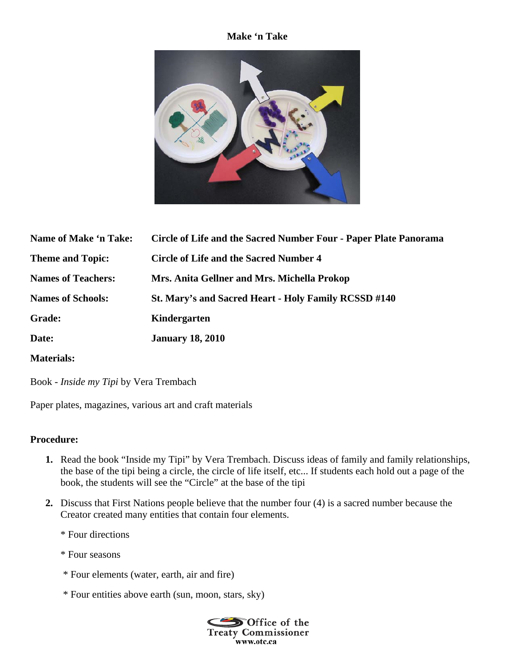## **Make 'n Take**



| Name of Make 'n Take:     | Circle of Life and the Sacred Number Four - Paper Plate Panorama |
|---------------------------|------------------------------------------------------------------|
| <b>Theme and Topic:</b>   | <b>Circle of Life and the Sacred Number 4</b>                    |
| <b>Names of Teachers:</b> | Mrs. Anita Gellner and Mrs. Michella Prokop                      |
| <b>Names of Schools:</b>  | St. Mary's and Sacred Heart - Holy Family RCSSD #140             |
| <b>Grade:</b>             | Kindergarten                                                     |
| Date:                     | <b>January 18, 2010</b>                                          |
|                           |                                                                  |

**Materials:** 

Book - *Inside my Tipi* by Vera Trembach

Paper plates, magazines, various art and craft materials

## **Procedure:**

- **1.** Read the book "Inside my Tipi" by Vera Trembach. Discuss ideas of family and family relationships, the base of the tipi being a circle, the circle of life itself, etc... If students each hold out a page of the book, the students will see the "Circle" at the base of the tipi
- **2.** Discuss that First Nations people believe that the number four (4) is a sacred number because the Creator created many entities that contain four elements.
	- \* Four directions
	- \* Four seasons
	- \* Four elements (water, earth, air and fire)
	- \* Four entities above earth (sun, moon, stars, sky)